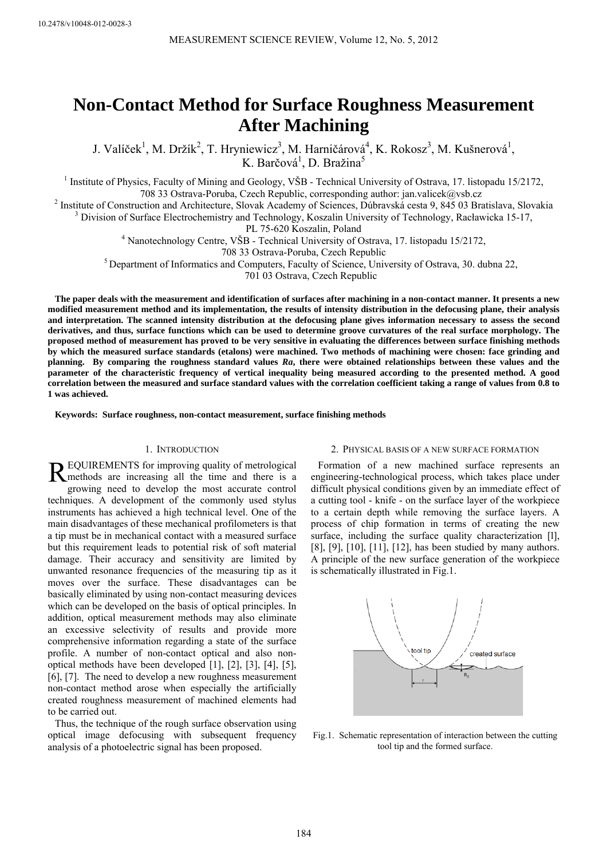# **Non-Contact Method for Surface Roughness Measurement After Machining**

J. Valíček<sup>1</sup>, M. Držík<sup>2</sup>, T. Hryniewicz<sup>3</sup>, M. Harničárová<sup>4</sup>, K. Rokosz<sup>3</sup>, M. Kušnerová<sup>1</sup>, K. Barčová<sup>1</sup>, D. Bražina<sup>5</sup>

<sup>1</sup> Institute of Physics, Faculty of Mining and Geology, VŠB - Technical University of Ostrava, 17. listopadu 15/2172, 708 33 Ostrava-Poruba, Czech Republic, corresponding author: jan.valicek@vsb.cz

<sup>2</sup> Institute of Construction and Architecture, Slovak Academy of Sciences, Dúbravská cesta 9, 845 03 Bratislava, Slovakia

<sup>3</sup> Division of Surface Electrochemistry and Technology, Koszalin University of Technology, Racławicka 15-17,

PL 75-620 Koszalin, Poland 4 Nanotechnology Centre, VŠB - Technical University of Ostrava, 17. listopadu 15/2172,

<sup>5</sup> Department of Informatics and Computers, Faculty of Science, University of Ostrava, 30. dubna 22,

701 03 Ostrava, Czech Republic

**The paper deals with the measurement and identification of surfaces after machining in a non-contact manner. It presents a new modified measurement method and its implementation, the results of intensity distribution in the defocusing plane, their analysis and interpretation. The scanned intensity distribution at the defocusing plane gives information necessary to assess the second derivatives, and thus, surface functions which can be used to determine groove curvatures of the real surface morphology. The proposed method of measurement has proved to be very sensitive in evaluating the differences between surface finishing methods by which the measured surface standards (etalons) were machined. Two methods of machining were chosen: face grinding and planning. By comparing the roughness standard values** *Ra***, there were obtained relationships between these values and the parameter of the characteristic frequency of vertical inequality being measured according to the presented method. A good correlation between the measured and surface standard values with the correlation coefficient taking a range of values from 0.8 to 1 was achieved.** 

**Keywords: Surface roughness, non-contact measurement, surface finishing methods** 

## 1. INTRODUCTION

EQUIREMENTS for improving quality of metrological REQUIREMENTS for improving quality of metrological<br>Remethods are increasing all the time and there is a growing need to develop the most accurate control techniques. A development of the commonly used stylus instruments has achieved a high technical level. One of the main disadvantages of these mechanical profilometers is that a tip must be in mechanical contact with a measured surface but this requirement leads to potential risk of soft material damage. Their accuracy and sensitivity are limited by unwanted resonance frequencies of the measuring tip as it moves over the surface. These disadvantages can be basically eliminated by using non-contact measuring devices which can be developed on the basis of optical principles. In addition, optical measurement methods may also eliminate an excessive selectivity of results and provide more comprehensive information regarding a state of the surface profile. A number of non-contact optical and also nonoptical methods have been developed [1], [2], [3], [4], [5], [6], [7]. The need to develop a new roughness measurement non-contact method arose when especially the artificially created roughness measurement of machined elements had to be carried out.

Thus, the technique of the rough surface observation using optical image defocusing with subsequent frequency analysis of a photoelectric signal has been proposed.

#### 2. PHYSICAL BASIS OF A NEW SURFACE FORMATION

Formation of a new machined surface represents an engineering-technological process, which takes place under difficult physical conditions given by an immediate effect of a cutting tool - knife - on the surface layer of the workpiece to a certain depth while removing the surface layers. A process of chip formation in terms of creating the new surface, including the surface quality characterization [1], [8], [9], [10], [11], [12], has been studied by many authors. A principle of the new surface generation of the workpiece is schematically illustrated in Fig.1.



Fig.1. Schematic representation of interaction between the cutting tool tip and the formed surface.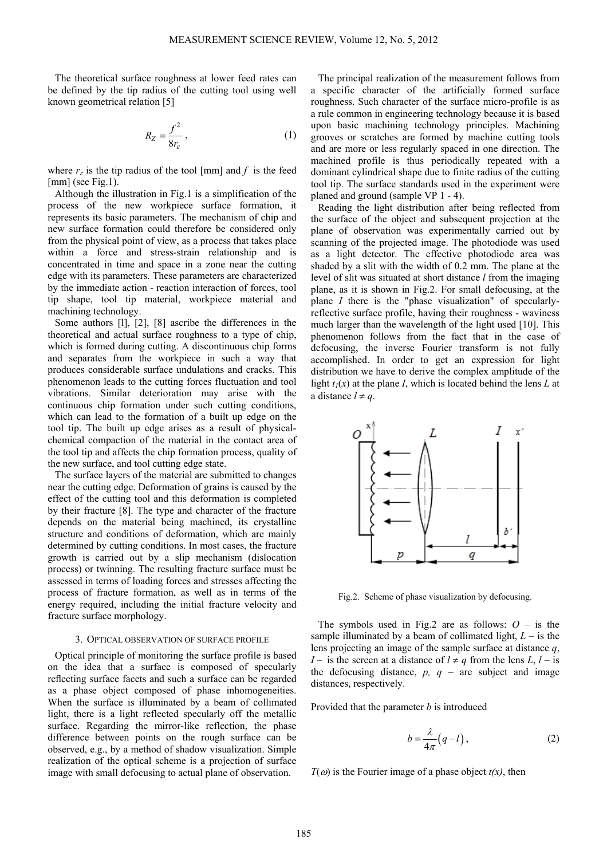The theoretical surface roughness at lower feed rates can be defined by the tip radius of the cutting tool using well known geometrical relation [5]

$$
R_Z = \frac{f^2}{8r_\varepsilon},\tag{1}
$$

where  $r_{\varepsilon}$  is the tip radius of the tool [mm] and  $f$  is the feed  $[mm]$  (see Fig.1).

Although the illustration in Fig.1 is a simplification of the process of the new workpiece surface formation, it represents its basic parameters. The mechanism of chip and new surface formation could therefore be considered only from the physical point of view, as a process that takes place within a force and stress-strain relationship and is concentrated in time and space in a zone near the cutting edge with its parameters. These parameters are characterized by the immediate action - reaction interaction of forces, tool tip shape, tool tip material, workpiece material and machining technology.

Some authors [l], [2], [8] ascribe the differences in the theoretical and actual surface roughness to a type of chip, which is formed during cutting. A discontinuous chip forms and separates from the workpiece in such a way that produces considerable surface undulations and cracks. This phenomenon leads to the cutting forces fluctuation and tool vibrations. Similar deterioration may arise with the continuous chip formation under such cutting conditions, which can lead to the formation of a built up edge on the tool tip. The built up edge arises as a result of physicalchemical compaction of the material in the contact area of the tool tip and affects the chip formation process, quality of the new surface, and tool cutting edge state.

The surface layers of the material are submitted to changes near the cutting edge. Deformation of grains is caused by the effect of the cutting tool and this deformation is completed by their fracture [8]. The type and character of the fracture depends on the material being machined, its crystalline structure and conditions of deformation, which are mainly determined by cutting conditions. In most cases, the fracture growth is carried out by a slip mechanism (dislocation process) or twinning. The resulting fracture surface must be assessed in terms of loading forces and stresses affecting the process of fracture formation, as well as in terms of the energy required, including the initial fracture velocity and fracture surface morphology.

## 3. OPTICAL OBSERVATION OF SURFACE PROFILE

Optical principle of monitoring the surface profile is based on the idea that a surface is composed of specularly reflecting surface facets and such a surface can be regarded as a phase object composed of phase inhomogeneities. When the surface is illuminated by a beam of collimated light, there is a light reflected specularly off the metallic surface. Regarding the mirror-like reflection, the phase difference between points on the rough surface can be observed, e.g., by a method of shadow visualization. Simple realization of the optical scheme is a projection of surface image with small defocusing to actual plane of observation.

The principal realization of the measurement follows from a specific character of the artificially formed surface roughness. Such character of the surface micro-profile is as a rule common in engineering technology because it is based upon basic machining technology principles. Machining grooves or scratches are formed by machine cutting tools and are more or less regularly spaced in one direction. The machined profile is thus periodically repeated with a dominant cylindrical shape due to finite radius of the cutting tool tip. The surface standards used in the experiment were planed and ground (sample VP 1 - 4).

Reading the light distribution after being reflected from the surface of the object and subsequent projection at the plane of observation was experimentally carried out by scanning of the projected image. The photodiode was used as a light detector. The effective photodiode area was shaded by a slit with the width of 0.2 mm. The plane at the level of slit was situated at short distance *l* from the imaging plane, as it is shown in Fig.2. For small defocusing, at the plane *I* there is the "phase visualization" of specularlyreflective surface profile, having their roughness - waviness much larger than the wavelength of the light used [10]. This phenomenon follows from the fact that in the case of defocusing, the inverse Fourier transform is not fully accomplished. In order to get an expression for light distribution we have to derive the complex amplitude of the light  $t_1(x)$  at the plane *I*, which is located behind the lens *L* at a distance  $l \neq q$ .



Fig.2. Scheme of phase visualization by defocusing.

The symbols used in Fig.2 are as follows:  $O -$  is the sample illuminated by a beam of collimated light,  $L -$  is the lens projecting an image of the sample surface at distance *q*, *I* – is the screen at a distance of  $l \neq q$  from the lens *L*, *l* – is the defocusing distance,  $p$ ,  $q$  – are subject and image distances, respectively.

Provided that the parameter *b* is introduced

$$
b = \frac{\lambda}{4\pi} (q - l), \qquad (2)
$$

 $T(\omega)$  is the Fourier image of a phase object  $t(x)$ , then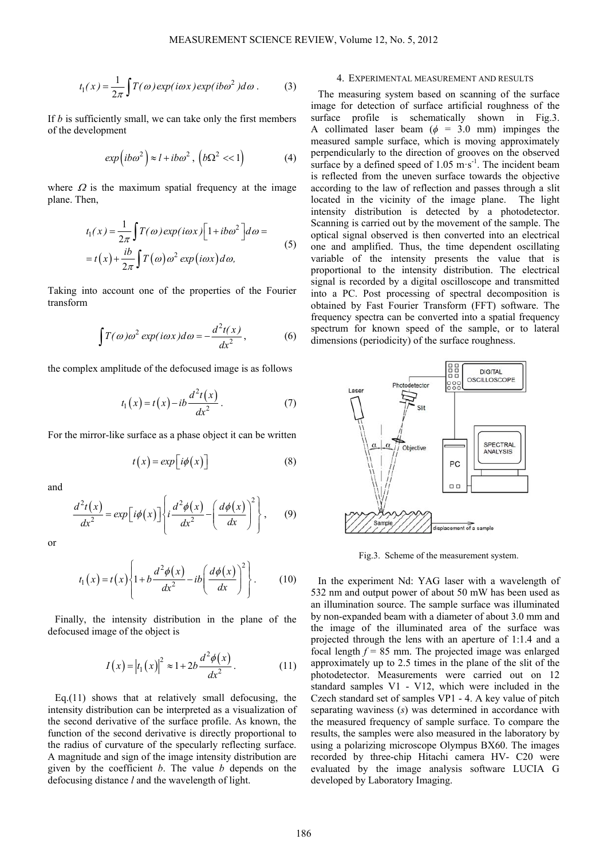$$
t_1(x) = \frac{1}{2\pi} \int T(\omega) \exp(i\omega x) \exp(i\omega^2) d\omega.
$$
 (3)

If *b* is sufficiently small, we can take only the first members of the development

$$
exp\left(iba^{2}\right) \approx l + ib\omega^{2}, \left( b\Omega^{2} << 1\right) \tag{4}
$$

where  $\Omega$  is the maximum spatial frequency at the image plane. Then,

$$
t_1(x) = \frac{1}{2\pi} \int T(\omega) \exp(i\omega x) \left[ 1 + ib\omega^2 \right] d\omega =
$$
  
=  $t(x) + \frac{ib}{2\pi} \int T(\omega) \omega^2 \exp(i\omega x) d\omega,$  (5)

Taking into account one of the properties of the Fourier transform

$$
\int T(\omega)\omega^2 \exp(i\omega x) d\omega = -\frac{d^2t(x)}{dx^2},
$$
 (6)

the complex amplitude of the defocused image is as follows

$$
t_1(x) = t(x) - ib \frac{d^2 t(x)}{dx^2}.
$$
 (7)

For the mirror-like surface as a phase object it can be written

$$
t(x) = exp[i\phi(x)] \tag{8}
$$

and

$$
\frac{d^2t(x)}{dx^2} = exp\left[i\phi(x)\right] \left\{ i\frac{d^2\phi(x)}{dx^2} - \left(\frac{d\phi(x)}{dx}\right)^2 \right\},\qquad(9)
$$

or

$$
t_1(x) = t(x)\left\{1 + b\frac{d^2\phi(x)}{dx^2} - ib\left(\frac{d\phi(x)}{dx}\right)^2\right\}.
$$
 (10)

Finally, the intensity distribution in the plane of the defocused image of the object is

$$
I(x) = |t_1(x)|^2 \approx 1 + 2b \frac{d^2 \phi(x)}{dx^2}.
$$
 (11)

Eq.(11) shows that at relatively small defocusing, the intensity distribution can be interpreted as a visualization of the second derivative of the surface profile. As known, the function of the second derivative is directly proportional to the radius of curvature of the specularly reflecting surface. A magnitude and sign of the image intensity distribution are given by the coefficient *b*. The value *b* depends on the defocusing distance *l* and the wavelength of light.

# 4. EXPERIMENTAL MEASUREMENT AND RESULTS

The measuring system based on scanning of the surface image for detection of surface artificial roughness of the surface profile is schematically shown in Fig.3. A collimated laser beam  $(\phi = 3.0 \text{ mm})$  impinges the measured sample surface, which is moving approximately perpendicularly to the direction of grooves on the observed surface by a defined speed of  $1.05 \text{ m} \text{ s}^{-1}$ . The incident beam is reflected from the uneven surface towards the objective according to the law of reflection and passes through a slit located in the vicinity of the image plane. The light intensity distribution is detected by a photodetector. Scanning is carried out by the movement of the sample. The optical signal observed is then converted into an electrical one and amplified. Thus, the time dependent oscillating variable of the intensity presents the value that is proportional to the intensity distribution. The electrical signal is recorded by a digital oscilloscope and transmitted into a PC. Post processing of spectral decomposition is obtained by Fast Fourier Transform (FFT) software. The frequency spectra can be converted into a spatial frequency spectrum for known speed of the sample, or to lateral dimensions (periodicity) of the surface roughness.



Fig.3. Scheme of the measurement system.

In the experiment Nd: YAG laser with a wavelength of 532 nm and output power of about 50 mW has been used as an illumination source. The sample surface was illuminated by non-expanded beam with a diameter of about 3.0 mm and the image of the illuminated area of the surface was projected through the lens with an aperture of 1:1.4 and a focal length  $f = 85$  mm. The projected image was enlarged approximately up to 2.5 times in the plane of the slit of the photodetector. Measurements were carried out on 12 standard samples V1 - V12, which were included in the Czech standard set of samples VP1 - 4. A key value of pitch separating waviness (*s*) was determined in accordance with the measured frequency of sample surface. To compare the results, the samples were also measured in the laboratory by using a polarizing microscope Olympus BX60. The images recorded by three-chip Hitachi camera HV- C20 were evaluated by the image analysis software LUCIA G developed by Laboratory Imaging.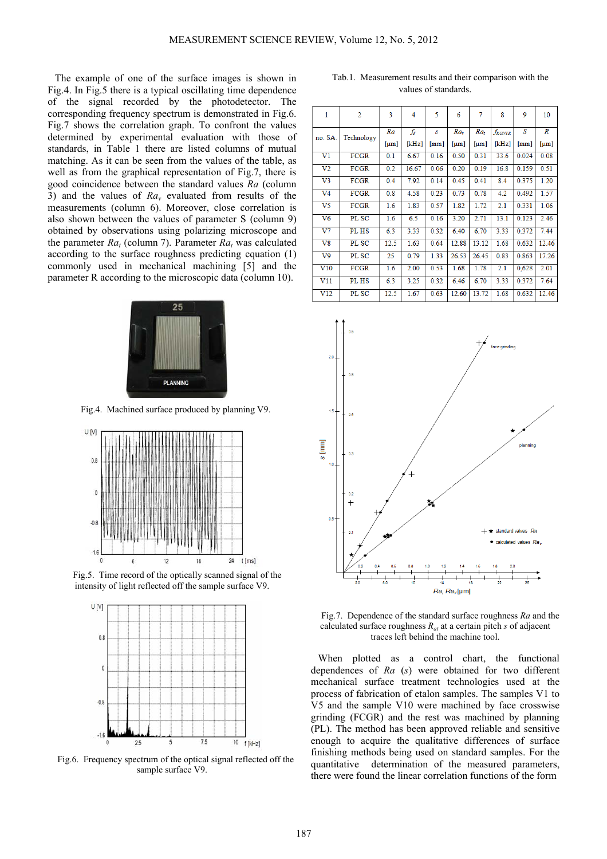The example of one of the surface images is shown in Fig.4. In Fig.5 there is a typical oscillating time dependence of the signal recorded by the photodetector. The corresponding frequency spectrum is demonstrated in Fig.6. Fig.7 shows the correlation graph. To confront the values determined by experimental evaluation with those of standards, in Table 1 there are listed columns of mutual matching. As it can be seen from the values of the table, as well as from the graphical representation of Fig.7, there is good coincidence between the standard values *Ra* (column  $\overline{3}$ ) and the values of  $Ra$ <sub>v</sub> evaluated from results of the measurements (column 6). Moreover, close correlation is also shown between the values of parameter S (column 9) obtained by observations using polarizing microscope and the parameter  $Ra_t$  (column 7). Parameter  $Ra_t$  was calculated according to the surface roughness predicting equation (1) commonly used in mechanical machining [5] and the parameter R according to the microscopic data (column 10).



Fig.4. Machined surface produced by planning V9.



Fig.5. Time record of the optically scanned signal of the intensity of light reflected off the sample surface V9.



Fig.6. Frequency spectrum of the optical signal reflected off the sample surface V9.

Tab.1. Measurement results and their comparison with the values of standards.

| 1              | 2           | 3    | 4     | 5    | 6      | 7               | 8      | 9     | 10           |
|----------------|-------------|------|-------|------|--------|-----------------|--------|-------|--------------|
| no. SA.        | Technology  | Ra   | fr    | s    | $Ra_v$ | Ra <sub>t</sub> | fkontr | S     | R            |
|                |             | [µm] | [kHz] | [mm] | [µm]   | [µm]            | [kHz]  | [mm]  | ${\rm [µm]}$ |
| V <sub>1</sub> | <b>FCGR</b> | 0.1  | 6.67  | 0.16 | 0.50   | 0.31            | 33.6   | 0.024 | 0.08         |
| V2             | <b>FCGR</b> | 0.2  | 16.67 | 0.06 | 0.20   | 0.19            | 16.8   | 0.159 | 0.51         |
| V <sub>3</sub> | <b>FCGR</b> | 0.4  | 7.92  | 0.14 | 0.45   | 0.41            | 8.4    | 0.375 | 1.20         |
| V <sub>4</sub> | <b>FCGR</b> | 0.8  | 4.58  | 0.23 | 0.73   | 0.78            | 4.2    | 0.492 | 1.57         |
| V <sub>5</sub> | <b>FCGR</b> | 1.6  | 1.83  | 0.57 | 1.82   | 1.72            | 2.1    | 0.331 | 1.06         |
| V <sub>6</sub> | PL SC       | 1.6  | 6.5   | 0.16 | 3.20   | 2.71            | 13.1   | 0.123 | 2.46         |
| V <sub>7</sub> | PL HS       | 6.3  | 3.33  | 0.32 | 6.40   | 6.70            | 3.33   | 0.372 | 7.44         |
| V8             | PL SC       | 12.5 | 1.63  | 0.64 | 12.88  | 13.12           | 1.68   | 0.632 | 12.46        |
| V9             | PL SC       | 25   | 0.79  | 1.33 | 26.53  | 26.45           | 0.83   | 0.863 | 17.26        |
| V10            | <b>FCGR</b> | 1.6  | 2.00  | 0.53 | 1.68   | 1.78            | 2.1    | 0.628 | 2.01         |
| V11            | PL HS       | 6.3  | 3.25  | 0.32 | 6.46   | 6.70            | 3.33   | 0.372 | 7.64         |
| V12            | PL SC       | 12.5 | 1.67  | 0.63 | 12.60  | 13.72           | 1.68   | 0.632 | 12.46        |



Fig.7. Dependence of the standard surface roughness *Ra* and the calculated surface roughness  $R_{at}$  at a certain pitch *s* of adjacent traces left behind the machine tool.

When plotted as a control chart, the functional dependences of *Ra* (*s*) were obtained for two different mechanical surface treatment technologies used at the process of fabrication of etalon samples. The samples V1 to V5 and the sample V10 were machined by face crosswise grinding (FCGR) and the rest was machined by planning (PL). The method has been approved reliable and sensitive enough to acquire the qualitative differences of surface finishing methods being used on standard samples. For the quantitative determination of the measured parameters, there were found the linear correlation functions of the form